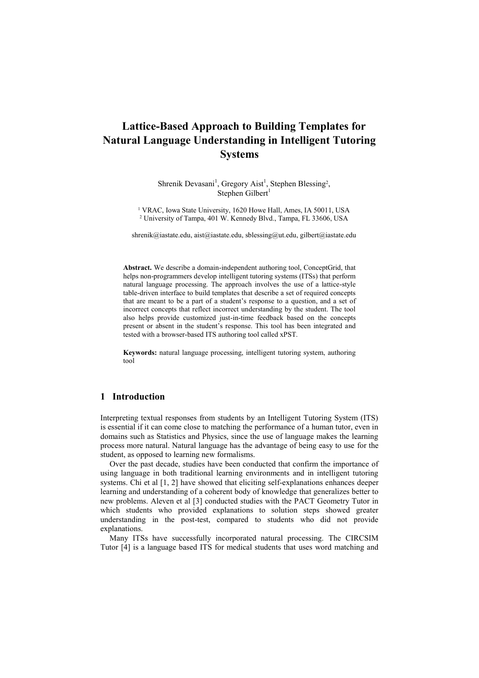# **Lattice-Based Approach to Building Templates for Natural Language Understanding in Intelligent Tutoring Systems**

Shrenik Devasani<sup>1</sup>, Gregory Aist<sup>1</sup>, Stephen Blessing<sup>2</sup>, Stephen Gilbert<sup>1</sup>

<sup>1</sup> VRAC, Iowa State University, 1620 Howe Hall, Ames, IA 50011, USA <sup>2</sup> University of Tampa, 401 W. Kennedy Blvd., Tampa, FL 33606, USA

shrenik@iastate.edu, aist@iastate.edu, sblessing@ut.edu, gilbert@iastate.edu

**Abstract.** We describe a domain-independent authoring tool, ConceptGrid, that helps non-programmers develop intelligent tutoring systems (ITSs) that perform natural language processing. The approach involves the use of a lattice-style table-driven interface to build templates that describe a set of required concepts that are meant to be a part of a student's response to a question, and a set of incorrect concepts that reflect incorrect understanding by the student. The tool also helps provide customized just-in-time feedback based on the concepts present or absent in the student"s response. This tool has been integrated and tested with a browser-based ITS authoring tool called xPST.

**Keywords:** natural language processing, intelligent tutoring system, authoring tool

# **1 Introduction**

Interpreting textual responses from students by an Intelligent Tutoring System (ITS) is essential if it can come close to matching the performance of a human tutor, even in domains such as Statistics and Physics, since the use of language makes the learning process more natural. Natural language has the advantage of being easy to use for the student, as opposed to learning new formalisms.

Over the past decade, studies have been conducted that confirm the importance of using language in both traditional learning environments and in intelligent tutoring systems. Chi et al [1, 2] have showed that eliciting self-explanations enhances deeper learning and understanding of a coherent body of knowledge that generalizes better to new problems. Aleven et al [3] conducted studies with the PACT Geometry Tutor in which students who provided explanations to solution steps showed greater understanding in the post-test, compared to students who did not provide explanations.

Many ITSs have successfully incorporated natural processing. The CIRCSIM Tutor [4] is a language based ITS for medical students that uses word matching and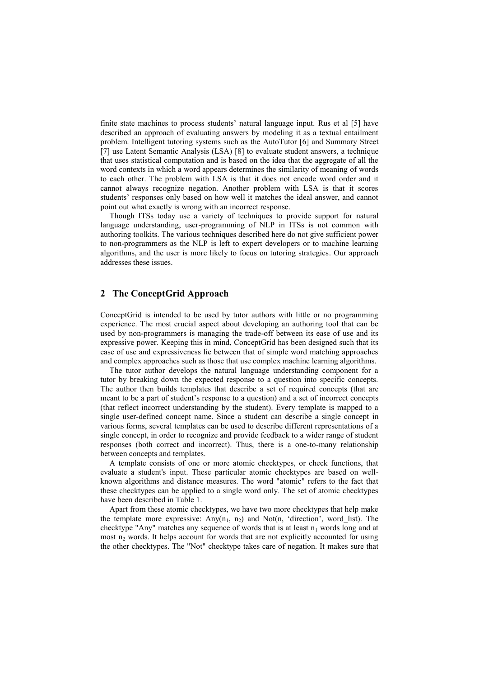finite state machines to process students' natural language input. Rus et al [5] have described an approach of evaluating answers by modeling it as a textual entailment problem. Intelligent tutoring systems such as the AutoTutor [6] and Summary Street [7] use Latent Semantic Analysis (LSA) [8] to evaluate student answers, a technique that uses statistical computation and is based on the idea that the aggregate of all the word contexts in which a word appears determines the similarity of meaning of words to each other. The problem with LSA is that it does not encode word order and it cannot always recognize negation. Another problem with LSA is that it scores students' responses only based on how well it matches the ideal answer, and cannot point out what exactly is wrong with an incorrect response.

Though ITSs today use a variety of techniques to provide support for natural language understanding, user-programming of NLP in ITSs is not common with authoring toolkits. The various techniques described here do not give sufficient power to non-programmers as the NLP is left to expert developers or to machine learning algorithms, and the user is more likely to focus on tutoring strategies. Our approach addresses these issues.

## **2 The ConceptGrid Approach**

ConceptGrid is intended to be used by tutor authors with little or no programming experience. The most crucial aspect about developing an authoring tool that can be used by non-programmers is managing the trade-off between its ease of use and its expressive power. Keeping this in mind, ConceptGrid has been designed such that its ease of use and expressiveness lie between that of simple word matching approaches and complex approaches such as those that use complex machine learning algorithms.

The tutor author develops the natural language understanding component for a tutor by breaking down the expected response to a question into specific concepts. The author then builds templates that describe a set of required concepts (that are meant to be a part of student"s response to a question) and a set of incorrect concepts (that reflect incorrect understanding by the student). Every template is mapped to a single user-defined concept name. Since a student can describe a single concept in various forms, several templates can be used to describe different representations of a single concept, in order to recognize and provide feedback to a wider range of student responses (both correct and incorrect). Thus, there is a one-to-many relationship between concepts and templates.

A template consists of one or more atomic checktypes, or check functions, that evaluate a student's input. These particular atomic checktypes are based on wellknown algorithms and distance measures. The word "atomic" refers to the fact that these checktypes can be applied to a single word only. The set of atomic checktypes have been described in Table 1.

Apart from these atomic checktypes, we have two more checktypes that help make the template more expressive:  $Any(n_1, n_2)$  and Not(n, 'direction', word list). The checktype "Any" matches any sequence of words that is at least  $n_1$  words long and at most  $n_2$  words. It helps account for words that are not explicitly accounted for using the other checktypes. The "Not" checktype takes care of negation. It makes sure that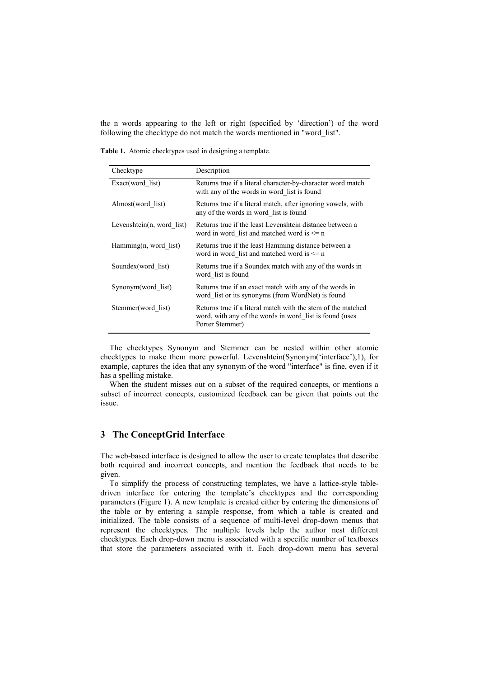the n words appearing to the left or right (specified by "direction") of the word following the checktype do not match the words mentioned in "word\_list".

**Table 1.** Atomic checktypes used in designing a template.

| Checktype                    | Description                                                                                                                                |
|------------------------------|--------------------------------------------------------------------------------------------------------------------------------------------|
| Exact(word list)             | Returns true if a literal character-by-character word match<br>with any of the words in word list is found                                 |
| Almost(word list)            | Returns true if a literal match, after ignoring vowels, with<br>any of the words in word list is found                                     |
| Levenshtein $(n, word$ list) | Returns true if the least Levenshtein distance between a<br>word in word list and matched word is $\leq n$                                 |
| Hamming(n, word list)        | Returns true if the least Hamming distance between a<br>word in word list and matched word is $\leq n$                                     |
| Soundex(word list)           | Returns true if a Soundex match with any of the words in<br>word list is found                                                             |
| Synonym (word list)          | Returns true if an exact match with any of the words in<br>word list or its synonyms (from WordNet) is found                               |
| Stemmer(word list)           | Returns true if a literal match with the stem of the matched<br>word, with any of the words in word list is found (uses<br>Porter Stemmer) |

The checktypes Synonym and Stemmer can be nested within other atomic checktypes to make them more powerful. Levenshtein(Synonym("interface"),1), for example, captures the idea that any synonym of the word "interface" is fine, even if it has a spelling mistake.

When the student misses out on a subset of the required concepts, or mentions a subset of incorrect concepts, customized feedback can be given that points out the issue.

## **3 The ConceptGrid Interface**

The web-based interface is designed to allow the user to create templates that describe both required and incorrect concepts, and mention the feedback that needs to be given.

To simplify the process of constructing templates, we have a lattice-style tabledriven interface for entering the template"s checktypes and the corresponding parameters (Figure 1). A new template is created either by entering the dimensions of the table or by entering a sample response, from which a table is created and initialized. The table consists of a sequence of multi-level drop-down menus that represent the checktypes. The multiple levels help the author nest different checktypes. Each drop-down menu is associated with a specific number of textboxes that store the parameters associated with it. Each drop-down menu has several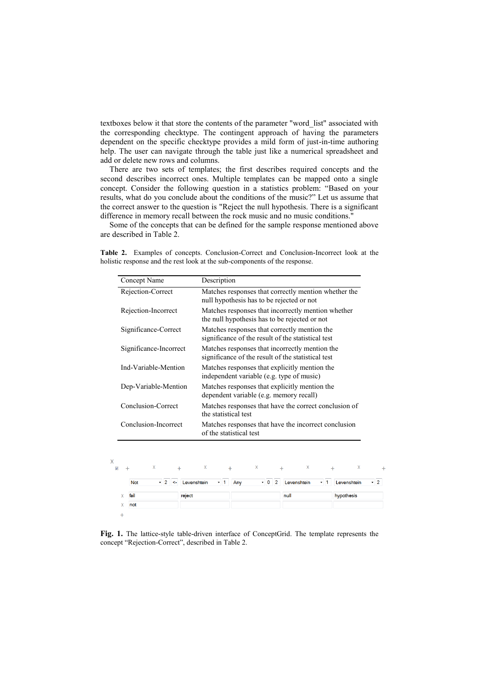textboxes below it that store the contents of the parameter "word\_list" associated with the corresponding checktype. The contingent approach of having the parameters dependent on the specific checktype provides a mild form of just-in-time authoring help. The user can navigate through the table just like a numerical spreadsheet and add or delete new rows and columns.

There are two sets of templates; the first describes required concepts and the second describes incorrect ones. Multiple templates can be mapped onto a single concept. Consider the following question in a statistics problem: "Based on your results, what do you conclude about the conditions of the music?" Let us assume that the correct answer to the question is "Reject the null hypothesis. There is a significant difference in memory recall between the rock music and no music conditions."

Some of the concepts that can be defined for the sample response mentioned above are described in Table 2.

| Concept Name           | Description                                                                                          |
|------------------------|------------------------------------------------------------------------------------------------------|
| Rejection-Correct      | Matches responses that correctly mention whether the<br>null hypothesis has to be rejected or not    |
| Rejection-Incorrect    | Matches responses that incorrectly mention whether<br>the null hypothesis has to be rejected or not  |
| Significance-Correct   | Matches responses that correctly mention the<br>significance of the result of the statistical test   |
| Significance-Incorrect | Matches responses that incorrectly mention the<br>significance of the result of the statistical test |
| Ind-Variable-Mention   | Matches responses that explicitly mention the<br>independent variable (e.g. type of music)           |
| Dep-Variable-Mention   | Matches responses that explicitly mention the<br>dependent variable (e.g. memory recall)             |
| Conclusion-Correct     | Matches responses that have the correct conclusion of<br>the statistical test                        |
| Conclusion-Incorrect   | Matches responses that have the incorrect conclusion<br>of the statistical test                      |

**Table 2.** Examples of concepts. Conclusion-Correct and Conclusion-Incorrect look at the holistic response and the rest look at the sub-components of the response.

| $\blacktriangledown$ |            |        | X |                                                    | X |                   | X |      | X           |      |
|----------------------|------------|--------|---|----------------------------------------------------|---|-------------------|---|------|-------------|------|
|                      | <b>Not</b> |        |   | $\vert 2 \vert$ <- Levenshtein $\vert 1 \vert$ Any |   | ▼ 0 2 Levenshtein |   | $+1$ | Levenshtein | $-2$ |
| X                    | fail       | reject |   |                                                    |   | null              |   |      | hypothesis  |      |
| Χ                    | not        |        |   |                                                    |   |                   |   |      |             |      |
|                      |            |        |   |                                                    |   |                   |   |      |             |      |

**Fig. 1.** The lattice-style table-driven interface of ConceptGrid. The template represents the concept "Rejection-Correct", described in Table 2.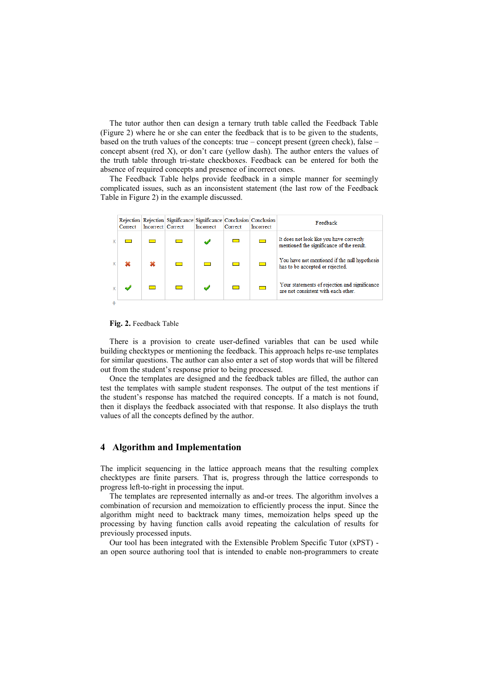The tutor author then can design a ternary truth table called the Feedback Table (Figure 2) where he or she can enter the feedback that is to be given to the students, based on the truth values of the concepts: true – concept present (green check), false – concept absent (red  $X$ ), or don't care (yellow dash). The author enters the values of the truth table through tri-state checkboxes. Feedback can be entered for both the absence of required concepts and presence of incorrect ones.

The Feedback Table helps provide feedback in a simple manner for seemingly complicated issues, such as an inconsistent statement (the last row of the Feedback Table in Figure 2) in the example discussed.

| Correct | Incorrect Correct | Rejection Rejection Significance Significance Conclusion Conclusion<br><b>Incorrect</b> | Correct | <b>Incorrect</b> | Feedback                                                                              |
|---------|-------------------|-----------------------------------------------------------------------------------------|---------|------------------|---------------------------------------------------------------------------------------|
|         |                   |                                                                                         |         |                  | It does not look like you have correctly<br>mentioned the significance of the result. |
|         |                   |                                                                                         |         |                  | You have not mentioned if the null hypothesis<br>has to be accepted or rejected.      |
|         |                   |                                                                                         |         |                  | Your statements of rejection and significance<br>are not consistent with each other   |
|         |                   |                                                                                         |         |                  |                                                                                       |

**Fig. 2.** Feedback Table

There is a provision to create user-defined variables that can be used while building checktypes or mentioning the feedback. This approach helps re-use templates for similar questions. The author can also enter a set of stop words that will be filtered out from the student"s response prior to being processed.

Once the templates are designed and the feedback tables are filled, the author can test the templates with sample student responses. The output of the test mentions if the student"s response has matched the required concepts. If a match is not found, then it displays the feedback associated with that response. It also displays the truth values of all the concepts defined by the author.

#### **4 Algorithm and Implementation**

The implicit sequencing in the lattice approach means that the resulting complex checktypes are finite parsers. That is, progress through the lattice corresponds to progress left-to-right in processing the input.

The templates are represented internally as and-or trees. The algorithm involves a combination of recursion and memoization to efficiently process the input. Since the algorithm might need to backtrack many times, memoization helps speed up the processing by having function calls avoid repeating the calculation of results for previously processed inputs.

Our tool has been integrated with the Extensible Problem Specific Tutor (xPST) an open source authoring tool that is intended to enable non-programmers to create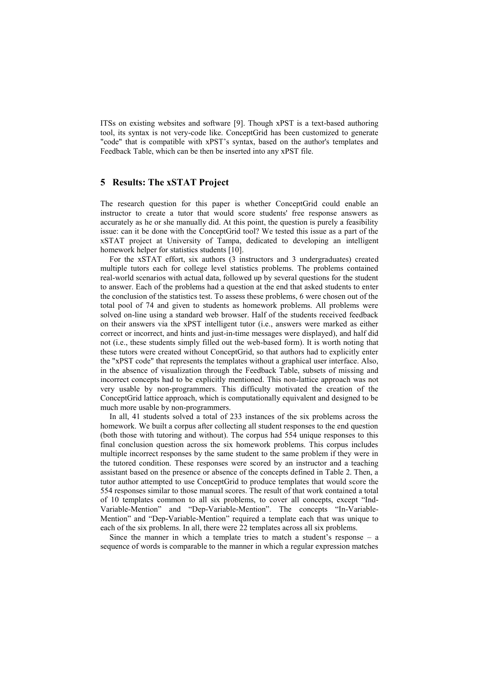ITSs on existing websites and software [9]. Though xPST is a text-based authoring tool, its syntax is not very-code like. ConceptGrid has been customized to generate "code" that is compatible with xPST"s syntax, based on the author's templates and Feedback Table, which can be then be inserted into any xPST file.

# **5 Results: The xSTAT Project**

The research question for this paper is whether ConceptGrid could enable an instructor to create a tutor that would score students' free response answers as accurately as he or she manually did. At this point, the question is purely a feasibility issue: can it be done with the ConceptGrid tool? We tested this issue as a part of the xSTAT project at University of Tampa, dedicated to developing an intelligent homework helper for statistics students [10].

For the xSTAT effort, six authors (3 instructors and 3 undergraduates) created multiple tutors each for college level statistics problems. The problems contained real-world scenarios with actual data, followed up by several questions for the student to answer. Each of the problems had a question at the end that asked students to enter the conclusion of the statistics test. To assess these problems, 6 were chosen out of the total pool of 74 and given to students as homework problems. All problems were solved on-line using a standard web browser. Half of the students received feedback on their answers via the xPST intelligent tutor (i.e., answers were marked as either correct or incorrect, and hints and just-in-time messages were displayed), and half did not (i.e., these students simply filled out the web-based form). It is worth noting that these tutors were created without ConceptGrid, so that authors had to explicitly enter the "xPST code" that represents the templates without a graphical user interface. Also, in the absence of visualization through the Feedback Table, subsets of missing and incorrect concepts had to be explicitly mentioned. This non-lattice approach was not very usable by non-programmers. This difficulty motivated the creation of the ConceptGrid lattice approach, which is computationally equivalent and designed to be much more usable by non-programmers.

In all, 41 students solved a total of 233 instances of the six problems across the homework. We built a corpus after collecting all student responses to the end question (both those with tutoring and without). The corpus had 554 unique responses to this final conclusion question across the six homework problems. This corpus includes multiple incorrect responses by the same student to the same problem if they were in the tutored condition. These responses were scored by an instructor and a teaching assistant based on the presence or absence of the concepts defined in Table 2. Then, a tutor author attempted to use ConceptGrid to produce templates that would score the 554 responses similar to those manual scores. The result of that work contained a total of 10 templates common to all six problems, to cover all concepts, except "Ind-Variable-Mention" and "Dep-Variable-Mention". The concepts "In-Variable-Mention" and "Dep-Variable-Mention" required a template each that was unique to each of the six problems. In all, there were 22 templates across all six problems.

Since the manner in which a template tries to match a student's response  $-$  a sequence of words is comparable to the manner in which a regular expression matches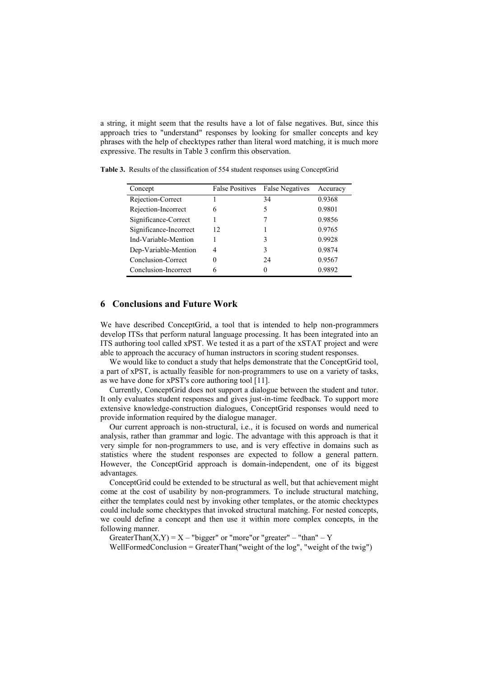a string, it might seem that the results have a lot of false negatives. But, since this approach tries to "understand" responses by looking for smaller concepts and key phrases with the help of checktypes rather than literal word matching, it is much more expressive. The results in Table 3 confirm this observation.

| Concept                | <b>False Positives</b> | <b>False Negatives</b> | Accuracy |
|------------------------|------------------------|------------------------|----------|
| Rejection-Correct      |                        | 34                     | 0.9368   |
| Rejection-Incorrect    | 6                      | 5                      | 0.9801   |
| Significance-Correct   |                        |                        | 0.9856   |
| Significance-Incorrect | 12                     |                        | 0.9765   |
| Ind-Variable-Mention   |                        | 3                      | 0.9928   |
| Dep-Variable-Mention   | 4                      | 3                      | 0.9874   |
| Conclusion-Correct     | 0                      | 24                     | 0.9567   |
| Conclusion-Incorrect   | 6                      | 0                      | 0.9892   |

**Table 3.** Results of the classification of 554 student responses using ConceptGrid

#### **6 Conclusions and Future Work**

We have described ConceptGrid, a tool that is intended to help non-programmers develop ITSs that perform natural language processing. It has been integrated into an ITS authoring tool called xPST. We tested it as a part of the xSTAT project and were able to approach the accuracy of human instructors in scoring student responses.

We would like to conduct a study that helps demonstrate that the ConceptGrid tool, a part of xPST, is actually feasible for non-programmers to use on a variety of tasks, as we have done for xPST's core authoring tool [11].

Currently, ConceptGrid does not support a dialogue between the student and tutor. It only evaluates student responses and gives just-in-time feedback. To support more extensive knowledge-construction dialogues, ConceptGrid responses would need to provide information required by the dialogue manager.

Our current approach is non-structural, i.e., it is focused on words and numerical analysis, rather than grammar and logic. The advantage with this approach is that it very simple for non-programmers to use, and is very effective in domains such as statistics where the student responses are expected to follow a general pattern. However, the ConceptGrid approach is domain-independent, one of its biggest advantages.

ConceptGrid could be extended to be structural as well, but that achievement might come at the cost of usability by non-programmers. To include structural matching, either the templates could nest by invoking other templates, or the atomic checktypes could include some checktypes that invoked structural matching. For nested concepts, we could define a concept and then use it within more complex concepts, in the following manner.

GreaterThan( $X, Y$ ) =  $X$  – "bigger" or "more" or "greater" – "than" – Y

WellFormedConclusion = GreaterThan("weight of the log", "weight of the twig")